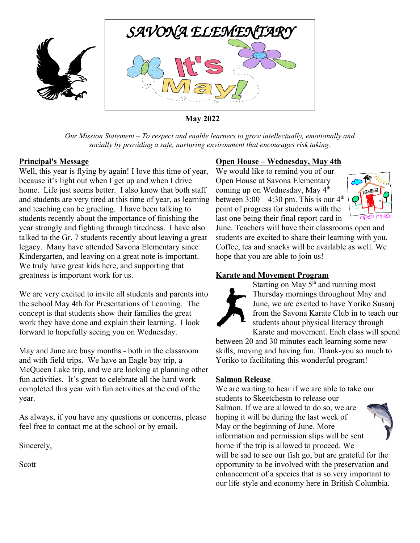

**May 2022**

*Our Mission Statement – To respect and enable learners to grow intellectually, emotionally and socially by providing a safe, nurturing environment that encourages risk taking.*

## **Principal's Message**

Well, this year is flying by again! I love this time of year, because it's light out when I get up and when I drive home. Life just seems better. I also know that both staff and students are very tired at this time of year, as learning and teaching can be grueling. I have been talking to students recently about the importance of finishing the year strongly and fighting through tiredness. I have also talked to the Gr. 7 students recently about leaving a great legacy. Many have attended Savona Elementary since Kindergarten, and leaving on a great note is important. We truly have great kids here, and supporting that greatness is important work for us.

We are very excited to invite all students and parents into the school May 4th for Presentations of Learning. The concept is that students show their families the great work they have done and explain their learning. I look forward to hopefully seeing you on Wednesday.

May and June are busy months - both in the classroom and with field trips. We have an Eagle bay trip, a McQueen Lake trip, and we are looking at planning other fun activities. It's great to celebrate all the hard work completed this year with fun activities at the end of the year.

As always, if you have any questions or concerns, please feel free to contact me at the school or by email.

Sincerely,

Scott

# **Open House – Wednesday, May 4th**

We would like to remind you of our Open House at Savona Elementary coming up on Wednesday, May 4<sup>th</sup> between  $3:00 - 4:30$  pm. This is our  $4<sup>th</sup>$ point of progress for students with the last one being their final report card in



June. Teachers will have their classrooms open and students are excited to share their learning with you. Coffee, tea and snacks will be available as well. We hope that you are able to join us!

# **Karate and Movement Program**



Starting on May  $5<sup>th</sup>$  and running most Thursday mornings throughout May and June, we are excited to have Yoriko Susanj from the Savona Karate Club in to teach our students about physical literacy through Karate and movement. Each class will spend

between 20 and 30 minutes each learning some new skills, moving and having fun. Thank-you so much to Yoriko to facilitating this wonderful program!

#### **Salmon Release**

We are waiting to hear if we are able to take our students to Skeetchestn to release our Salmon. If we are allowed to do so, we are hoping it will be during the last week of May or the beginning of June. More information and permission slips will be sent home if the trip is allowed to proceed. We will be sad to see our fish go, but are grateful for the opportunity to be involved with the preservation and enhancement of a species that is so very important to our life-style and economy here in British Columbia.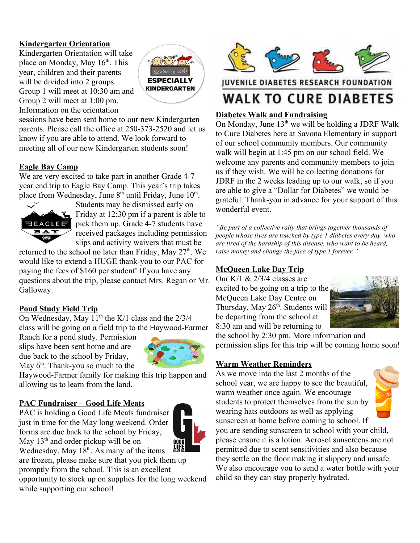# **Kindergarten Orientation**

Kindergarten Orientation will take place on Monday, May  $16<sup>th</sup>$ . This year, children and their parents will be divided into 2 groups. Group 1 will meet at 10:30 am and Group 2 will meet at 1:00 pm. Information on the orientation



sessions have been sent home to our new Kindergarten parents. Please call the office at 250-373-2520 and let us know if you are able to attend. We look forward to meeting all of our new Kindergarten students soon!

## **Eagle Bay Camp**

We are very excited to take part in another Grade 4-7 year end trip to Eagle Bay Camp. This year's trip takes place from Wednesday, June  $8<sup>th</sup>$  until Friday, June  $10<sup>th</sup>$ .



Students may be dismissed early on Friday at 12:30 pm if a parent is able to pick them up. Grade 4-7 students have received packages including permission slips and activity waivers that must be

returned to the school no later than Friday, May  $27<sup>th</sup>$ . We would like to extend a HUGE thank-you to our PAC for paying the fees of \$160 per student! If you have any questions about the trip, please contact Mrs. Regan or Mr. Galloway.

#### **Pond Study Field Trip**

On Wednesday, May  $11<sup>th</sup>$  the K/1 class and the  $2/3/4$ class will be going on a field trip to the Haywood-Farmer

Ranch for a pond study. Permission slips have been sent home and are due back to the school by Friday, May  $6<sup>th</sup>$ . Thank-you so much to the



Haywood-Farmer family for making this trip happen and allowing us to learn from the land.

#### **PAC Fundraiser – Good Life Meats**

PAC is holding a Good Life Meats fundraiser just in time for the May long weekend. Order forms are due back to the school by Friday, May  $13<sup>th</sup>$  and order pickup will be on Wednesday, May  $18^{th}$ . As many of the items



are frozen, please make sure that you pick them up promptly from the school. This is an excellent

opportunity to stock up on supplies for the long weekend while supporting our school!



**JUVENILE DIABETES RESEARCH FOUNDATION** 

# **WALK TO CURE DIABETES**

## **Diabetes Walk and Fundraising**

On Monday, June  $13<sup>th</sup>$  we will be holding a JDRF Walk to Cure Diabetes here at Savona Elementary in support of our school community members. Our community walk will begin at 1:45 pm on our school field. We welcome any parents and community members to join us if they wish. We will be collecting donations for JDRF in the 2 weeks leading up to our walk, so if you are able to give a "Dollar for Diabetes" we would be grateful. Thank-you in advance for your support of this wonderful event.

*"Be part of a collective rally that brings together thousands of people whose lives are touched by type 1 diabetes every day, who are tired of the hardship of this disease, who want to be heard, raise money and change the face of type 1 forever."*

# **McQueen Lake Day Trip**

Our K/1  $& 2/3/4$  classes are excited to be going on a trip to the McQueen Lake Day Centre on Thursday, May  $26<sup>th</sup>$ . Students will be departing from the school at 8:30 am and will be returning to



the school by 2:30 pm. More information and permission slips for this trip will be coming home soon!

# **Warm Weather Reminders**

As we move into the last 2 months of the school year, we are happy to see the beautiful, warm weather once again. We encourage students to protect themselves from the sun by wearing hats outdoors as well as applying sunscreen at home before coming to school. If



you are sending sunscreen to school with your child, please ensure it is a lotion. Aerosol sunscreens are not permitted due to scent sensitivities and also because they settle on the floor making it slippery and unsafe. We also encourage you to send a water bottle with your child so they can stay properly hydrated.